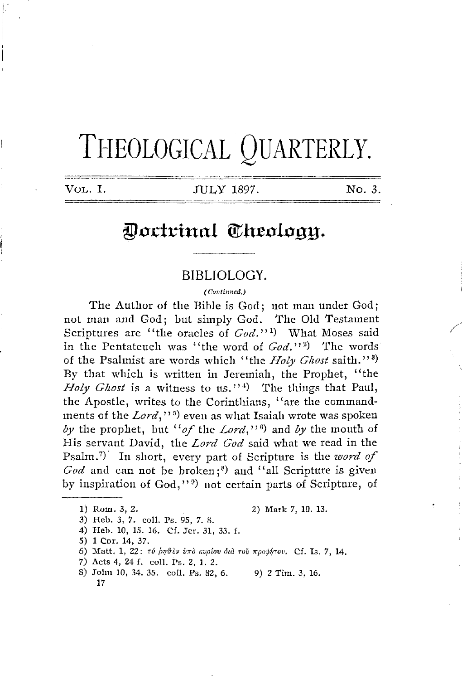# THEOLOGICAL QUARTERLY.

**VoL.** I. JULY 1897. No. *3.* 

# Doctrinal Theology.

## BIBLIOLOGY.

( Contimied.)

The Author of the Bible is God; not man under God; not man and God; but simply God. The Old Testament Scriptures are "the oracles of *God.*"<sup>1</sup>) What Moses said in the Pentateuch was "the word of *God."* <sup>2</sup> ) 'fhe words of the Psalmist are words which "the *Holy Ghost* saith."<sup>3</sup>) By that which is written in Jeremiah, the Prophet, "the Holy Ghost is a witness to us."<sup>4</sup>) The things that Paul, the Apostle, writes to the Corinthians, "are the commandments of the *Lord,''* <sup>5</sup> ) even as what Isaiah wrote was spoken by the prophet, but "of the Lord,"<sup>6</sup>) and by the mouth of His servant David, the *Lord God* said what we read in the Psalm.<sup>7)</sup> In short, every part of Scripture is the *word of* God and can not be broken;<sup>8</sup>) and "all Scripture is given by inspiration of God,"<sup>9)</sup> not certain parts of Scripture, of

1) Rom. 3, 2. 2) Mark 7, 10. 13.

- 3) Heb. 3, 7. coll. Ps. 95, 7. 8.
- 4) Heh. 10, 15. 16. Cf. Jer. 31, 33. f.
- 5) 1 Cor. 14, 37.
- 6) Matt. 1, 22: τό *ρηθεν υπο κυρίου δια του προφήτου*. Cf. Is. 7, 14.
- 7) Acts 4, 24 f. coll. Ps. 2, 1. 2.
- 8) John 10, 34. 35. coll. Ps. 82, 6. 9) 2 Tim. 3, 16. 17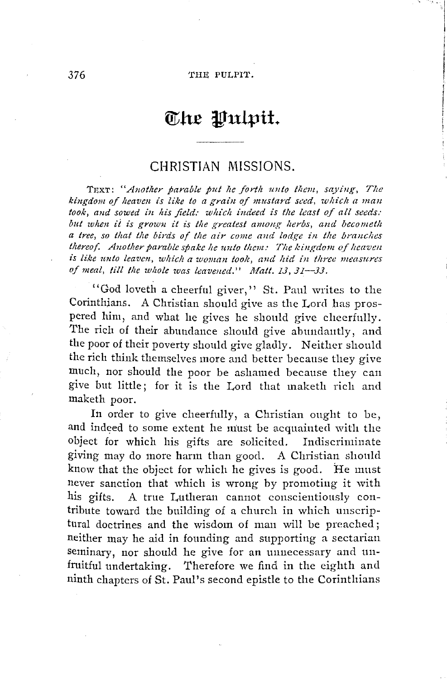#### 376 THE PULPIT.

# $\alpha$  the Pulpit.

# CHRISTIAN MISSIONS.

TEXT: "Another parable put he forth unto them, saying, The kingdom of heaven is like to a grain of mustard seed, which a man took, and sowed in his field: which indeed is the least of all seeds: *but when ii is grown it is the greatest among herbs, and becometh a tree, so that the birds of the air come and lodge in the branches thereof.* Another parable spake he unto them: The kingdom of heaven *is like unto leaven, which a woman took, and hid in three measures of meal, till the whole was leavened." Matt. 13, 31-33.* 

''God loveth a cheerful giver,'' St. Paul writes to the Corinthjans. A Christian should give as the Lord has prospered him, and what he gives he should give cheerfully. The rich of their abundance should give abundantly, and the poor of their poverty should give gladly. Neither should the rich think themselves more and better because they give much, nor should the poor be ashamed because they can give but little; for it is the Lord that maketh rich and maketh poor.

In order to give cheerfully, a Christian ought to be, and indeed to some extent he must be acquainted with the object for which his gifts are solicited. Indiscriminate giving may do more harm than good. A Christian should know that the object for which he gives is good. He must never sanction that which is wrong by promoting it with his gifts. A true I,utheran cannot conscientiously contribute toward the building of a church in which unscriptural doctrines and the wisdom of man will be preached; neither may he aid in founding and supporting a sectarian seminary, nor should he give for an unnecessary and unfruitful undertaking. Therefore we find in the eighth and ninth chapters of St. Paul's second epistle to the Corinthians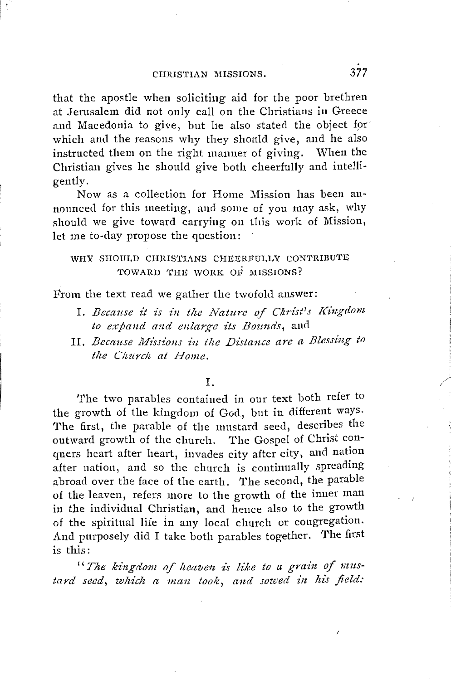CIIRIS'fIAN MISSIONS. 377

that the apostle when soliciting aid for the poor brethren at Jerusalem did not only call on the Christians in Greece and Macedonia to give, but he also stated the object for which and the reasons why they should give, and he also instructed them on the right manner of giving. When the Christian gives he should give both cheerfully and intelligently.

Now as a collection for Home Mission has been announced for this meeting, and some of you may ask, why should we give toward carrying on this work of Mission, let me to-day propose the question:

## WHY SHOULD CHRISTIANS CHEERFULLY CONTRIBUTE TOWARD THE WORK OF MISSIONS?

From the text read we gather the twofold answer:

- I. *Because it is in the Nature of Christ's Kingdom to expand and enlarge its Bounds,* and
- II. Because Missions in the Distance are a Blessing to *the Church at Home.*

#### I.

The two parables contained in our text both refer to the growth of the kingdom of God, but in different ways. The first, the parable of the mustard seed, describes the outward growth of the church. The Gospel of Christ conquers heart after heart, invades city after city, and nation after nation, and so the church is continually spreading abroad over the face of the earth. The second, the parable of the leaven, refers more to the growth of the inner man in the individual Christian, and hence also to the growth of the spiritual life in any local church or congregation. And purposely did I take both parables together. The first is this:

*"The kingd01n of heaven is like to a grain of mustard seed, which a man took, and sowed in his field:* 

/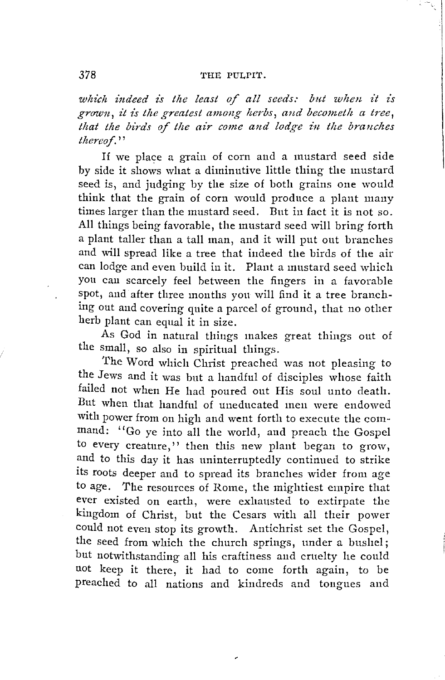### 378 THE PULPIT.

which indeed is the least of all seeds: but when it is grown, it is the greatest among herbs, and becometh a tree, that the birds of the air come and lodge in the branches *thereof.''* 

If we place a grain of corn and a mustard seed side by side it shows what a diminutive little thing the mustard seed is, and judging by the size of both grains one would think that the grain of corn would produce a plant many times larger than the mustard seed. But in fact it is not so. All things being favorable, the mustard seed will bring forth a plant taller than a tall man, and it will put out branches and will spread like a tree that indeed the birds of the air can lodge and even build in it. Plant a mustard seed which you can scarcely feel between the fingers in a favorable spot, and after three months you will find it a tree branching out and covering quite a parcel of ground, that no other herb plant can equal it in size.

As God in natural things makes great things out of the small, so also in spiritual things.

The Word which Christ preached was not pleasing to the Jews and it was but a handful of disciples whose faith failed not when He had poured out His soul unto death. But when that handful of uneducated meu were endowed with power from on high and went forth to execute the command: "Go ye into all the world, and preach the Gospel to every creature,'' then this new plant began to grow, and to this day it has uninterruptedly continued to strike its roots deeper and to spread its branches wider from age to age. The resources of Rome, the mightiest empire that ever existed on earth, were exhausted to extirpate the kingdom of Christ, but the Cesars with all their power could not even stop its growth. Antichrist set the Gospel, the seed from which the church springs, under a bushel; but notwithstanding all his craftiness and cruelty he could not keep it there, it had to come forth again, to be preached to all nations and kindreds and tongues and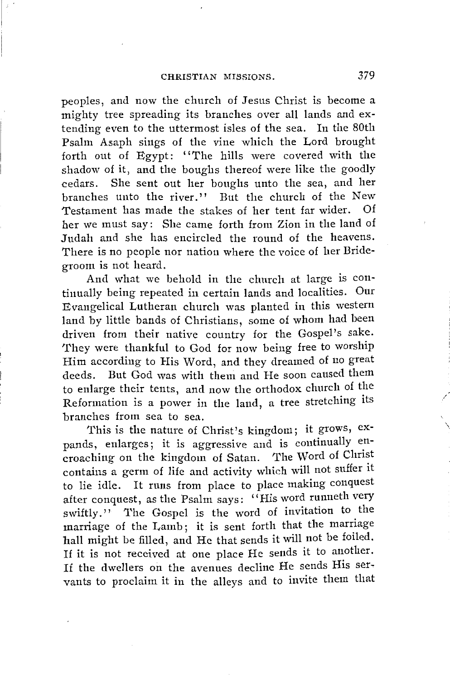peoples, and now the church of Jesus Christ is become a mighty tree spreading its branches over all lands and extending even to the uttermost isles of the sea. In the 80th Psalm Asaph sings of the vine which the Lord brought forth out of Egypt: "The hills were covered with the shadow of it, and the boughs thereof were like the goodly cedars. She sent out her boughs unto the sea, and her branches unto the river.'' But the church of the New Testament has made the stakes of her tent far wider. Of her we must say: She came forth from Zion in the land of Judah and she has encircled the round of the heavens. There is no people nor nation where the voice of her Bridegroom is not heard.

And what we behold in the church at large is continually being repeated in certain lands and localities. Our Evangelical Lutheran church was planted in this western land by little bands of Christians, some of whom had been driven from their native country for the Gospel's sake. They were thankful to God for now being free to worship Him according to His Word, and they dreamed of no great deeds. But God was with them and He soon caused them to enlarge their tents, and now the orthodox church of the Reformation is a power in the land, a tree stretching its branches from sea to sea.

This is the nature of Christ's kingdom; it grows, expands, enlarges; it is aggressive and is continually encroaching on the kingdom of Satan. The Word of Christ contains a germ of life and activity which will not suffer it to lie idle. It runs from place to place making conquest after conquest, as the Psalm says: "His word runneth very swiftly." The Gospel is the word of invitation to the marriage of the Lamb; it is sent forth that the marriage hall might be filled, and He that sends it will not be foiled. If it is not received at one place He sends it to another. If the dwellers on the avenues decline He sends His servants to proclaim it in the alleys and to invite them that /

\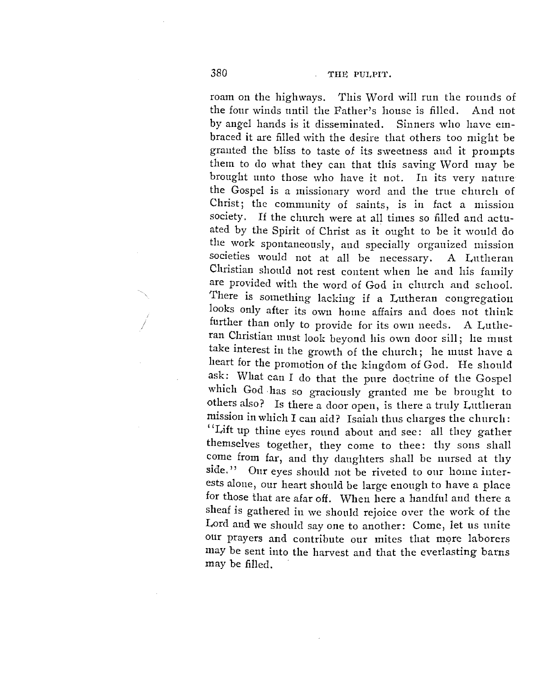roam on the highways. This Word will run the rounds of the four winds until the Father's house is filled. And not by angel hands is it disseminated. Sinners who have embraced it are filled with the desire that others too might be granted the bliss to taste of its sweetness and it prompts them to do what they can that this saving Word may be brought unto those who have it not. In its very nature the Gospel is a missionary word and the true church of Christ; the community of saints, is in fact a mission society. If the church were at all times so filled and actuated by the Spirit of Christ as it ought to be it would do the work spontaneously, and specially organized mission societies would not at all be necessary. A Lutheran Christian should not rest content when he and his family are provided with the word of God in church and school. There is something lacking if a Lutheran congregation looks only after its own home affairs and does not think further than only to provide for its own needs. A Lutheran Christian must look beyond his own door sill; he must take interest in the growth of the church; he must have a heart for the promotion of the kingdom of God. He should ask: What can I do that the pure doctrine of the Gospel which God has so graciously granted me be brought to others also? Is there a door open, is there a truly Lutheran mission in which I can aid? Isaiah thus charges the church: ''Lift up thine eyes round about and see: all they gather themselves together, they come to thee: thy sons shall come from far, and thy daughters shall be nursed at thy side." Our eyes should not be riveted to our home interests alone, our heart should be large enough to have a place for those that are afar off. When here a handful and there a sheaf is gathered in we should rejoice over the work of the Lord and we should say one to another: Come, let us unite our prayers and contribute our mites that more laborers may be sent into the harvest and that the everlasting barns may be filled.

*I*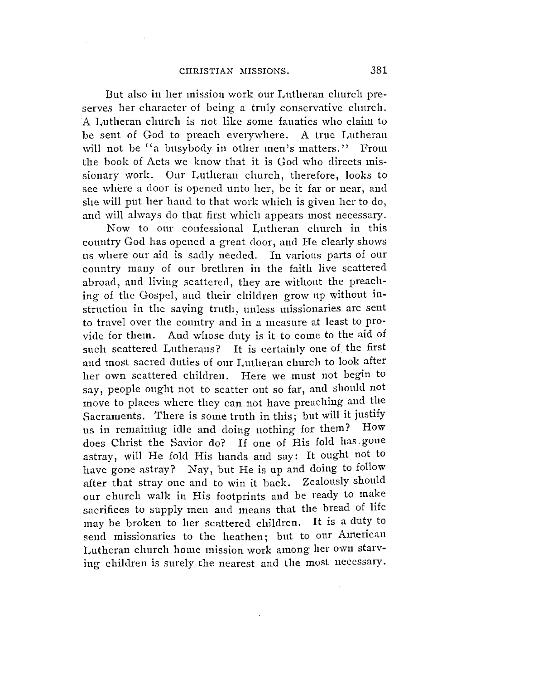But also in her mission work our Lutheran church preserves her character of being a truly conservative church. A Lutheran church is not like some fanatics who claim to be sent of God to preach everywhere. A true Lutheran will not be "a busybody in other men's matters." From the book of Acts we know that it is God who directs missionary work. Our Lutheran church, therefore, looks to see where a door is opened unto her, be it far or near, and she will put her hand to that work which is given her to do, and will always do that first which appears most necessary.

Now to our confessional Lutheran church in this country God has opened a great door, and He clearly shows ns where our aid is sadly needed. In various parts of our country many of our brethren in the faith live scattered abroad, and living scattered, they are without the preaching of the Gospel, and their children grow up without instruction in the saving truth, unless missionaries are sent to travel over the country and in a measure at least to provide for them. And whose duty is it to come to the aid of such scattered Lutherans? It is certainly one of the first and most sacred duties of our Lutheran clmreh to look after her own scattered children. Here we must not begin to say, people ought not to scatter out so far, and should not move to places where they can not have preaching and the Sacraments. There is some truth in this, but will it justify<br>us in remaining idle and doing pothing for them? How us in remaining idle and doing nothing for them? does Christ the Savior do? If one of His fold has gone astray, will He fold His hands and say: It ought not to have gone astray? Nay, but He is up and doing to follow after that stray one and to win it back. Zealously should our church walk in His footprints and be ready to make sacrifices to supply men and means that the bread of life may be broken to her scattered children. It is a duty to send missionaries to the heathen; but to our American Lutheran church home mission work among her own starving children is surely the nearest and the most necessary.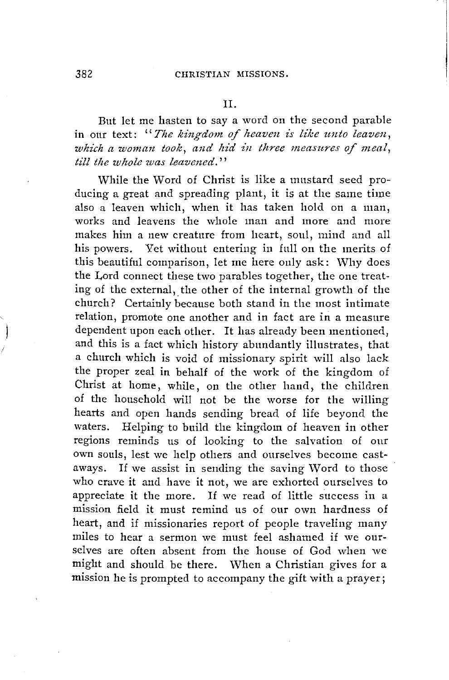II.

But let me hasten to say a word on the second parable in our text: "*The kingdom of heaven is like unto leaven*, which a woman took, and hid in three measures of meal, *till the whole was leavened.''* 

While the Word of Christ is like a mustard seed producing a great and spreading plant, it is at the same time also a leaven which, when it has taken hold on a man, works and leavens the whole man and more and more makes him a new creature from heart, soul, mind and all his powers. Yet without entering in full on the merits of this beautiful comparison, let me here only ask: Why does the Lord connect these two parables together, the one treating of the external, the other of the internal growth of the church? Certainly because both stand in the most intimate relation, promote one another and in fact are in a measure dependent upon each other. It has already been mentioned, and this is a fact which history abundantly illustrates, that a church which is void of missionary spirit will also lack the proper zeal in behalf of the work of the kingdom of Christ at home, while, on the other hand, the children of the household will not be the worse for the willing hearts and open hands sending bread of life beyond the waters. Helping to build the kingdom of heaven in other regions reminds us of looking to the salvation of our own souls, lest we help others and ourselves become castaways. If we assist in sending the saving Word to those who crave it and have it not, we are exhorted ourselves to appreciate it the more. If we read of little success in a mission field it must remind us of our own hardness of heart, and if missionaries report of people traveling many miles to hear a sermon we must feel ashamed if we ourselves are often absent from the house of God when we might and should be there. When a Christian gives for a mission he is prompted to accompany the gift with a prayer;